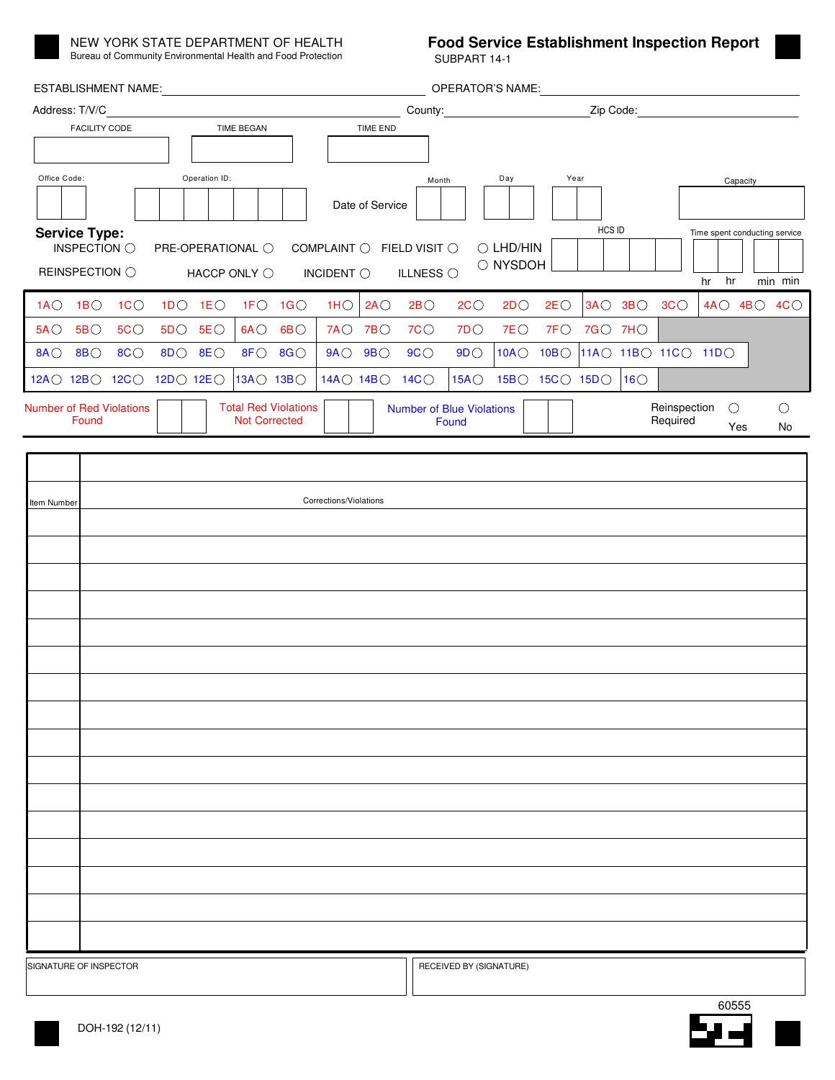

NEW YORK STATE DEPARTMENT OF HEALTH Bureau of Community Environmental Health and Food Protection SUBPART 14-1

## **Food Service Establishment Inspection Report**

| <b>ESTABLISHMENT NAME:</b>                                                                                                                               |       |    |  |                 |                                                     |                                 | <b>OPERATOR'S NAME:</b>          |                 |                                  |                         |    |                           |         |    |                          |  |                               |               |  |
|----------------------------------------------------------------------------------------------------------------------------------------------------------|-------|----|--|-----------------|-----------------------------------------------------|---------------------------------|----------------------------------|-----------------|----------------------------------|-------------------------|----|---------------------------|---------|----|--------------------------|--|-------------------------------|---------------|--|
| Address: T/V/C                                                                                                                                           |       |    |  |                 |                                                     |                                 |                                  |                 |                                  |                         |    |                           |         |    |                          |  |                               |               |  |
| <b>FACILITY CODE</b>                                                                                                                                     |       |    |  | TIME BEGAN      |                                                     |                                 |                                  | <b>TIME END</b> |                                  |                         |    |                           |         |    |                          |  |                               |               |  |
|                                                                                                                                                          |       |    |  |                 |                                                     |                                 |                                  |                 |                                  |                         |    |                           |         |    |                          |  |                               |               |  |
| Office Code:<br>Operation ID:                                                                                                                            |       |    |  |                 |                                                     |                                 | Year<br>Day<br>Month<br>Capacity |                 |                                  |                         |    |                           |         |    |                          |  |                               |               |  |
|                                                                                                                                                          |       |    |  |                 |                                                     |                                 |                                  | Date of Service |                                  |                         |    |                           |         |    |                          |  |                               |               |  |
| <b>HCS ID</b><br><b>Service Type:</b><br>INSPECTION $\bigcirc$<br>COMPLAINT $\bigcirc$ FIELD VISIT $\bigcirc$<br>$\bigcirc$ LHD/HIN<br>PRE-OPERATIONAL O |       |    |  |                 |                                                     |                                 |                                  |                 |                                  |                         |    |                           |         |    |                          |  | Time spent conducting service |               |  |
| O NYSDOH<br>ILLNESS $\bigcirc$<br>REINSPECTION O<br>INCIDENT $\bigcirc$<br>HACCP ONLY $\bigcirc$                                                         |       |    |  |                 |                                                     |                                 |                                  |                 |                                  |                         |    |                           |         |    | hr hr                    |  | min min                       |               |  |
| $1A$ $\bigcirc$ $1B$ $\bigcirc$                                                                                                                          |       | 1C |  |                 | 1DO 1EO 1FO 1GO                                     |                                 |                                  |                 | $1HO$ 2AO 2BO                    | 2C                      | 2D | 2E                        |         |    | $3A$ $3B$ $3C$           |  |                               | 4AO 4BO 4CO   |  |
| $5A$ $\circ$                                                                                                                                             | 5B    | 5C |  | $5D$ 5E $\circ$ |                                                     | $6A$ $\bigcirc$ $6B$ $\bigcirc$ |                                  | $7AO$ $7BO$     | 7C                               | 7D                      | 7E | $7F$ $\circ$              | 7GO 7HO |    |                          |  |                               |               |  |
| 8A 0 8B 0 8C 0                                                                                                                                           |       |    |  | 8DO 8EO         |                                                     | 8FO 8GO                         | $9A \bigcirc 9B \bigcirc$        |                 | 9C                               | 9D                      |    | 10AO 10BO                 |         |    | 11AO 11BO 11CO 11DO      |  |                               |               |  |
| 12A 0 12B 0 12C 0 12D 0 12E 0                                                                                                                            |       |    |  |                 | 13A O 13B O                                         |                                 | 14A O 14B O                      |                 | 14C                              | 15A                     |    | $15B$ $\circ$ $15C$ $15D$ |         | 16 |                          |  |                               |               |  |
| <b>Number of Red Violations</b>                                                                                                                          | Found |    |  |                 | <b>Total Red Violations</b><br><b>Not Corrected</b> |                                 |                                  |                 | <b>Number of Blue Violations</b> | Found                   |    |                           |         |    | Reinspection<br>Required |  | $\circ$<br>Yes                | $\circ$<br>No |  |
|                                                                                                                                                          |       |    |  |                 |                                                     |                                 |                                  |                 |                                  |                         |    |                           |         |    |                          |  |                               |               |  |
|                                                                                                                                                          |       |    |  |                 |                                                     |                                 |                                  |                 |                                  |                         |    |                           |         |    |                          |  |                               |               |  |
| Corrections/Violations<br>Item Number                                                                                                                    |       |    |  |                 |                                                     |                                 |                                  |                 |                                  |                         |    |                           |         |    |                          |  |                               |               |  |
|                                                                                                                                                          |       |    |  |                 |                                                     |                                 |                                  |                 |                                  |                         |    |                           |         |    |                          |  |                               |               |  |
|                                                                                                                                                          |       |    |  |                 |                                                     |                                 |                                  |                 |                                  |                         |    |                           |         |    |                          |  |                               |               |  |
|                                                                                                                                                          |       |    |  |                 |                                                     |                                 |                                  |                 |                                  |                         |    |                           |         |    |                          |  |                               |               |  |
|                                                                                                                                                          |       |    |  |                 |                                                     |                                 |                                  |                 |                                  |                         |    |                           |         |    |                          |  |                               |               |  |
|                                                                                                                                                          |       |    |  |                 |                                                     |                                 |                                  |                 |                                  |                         |    |                           |         |    |                          |  |                               |               |  |
|                                                                                                                                                          |       |    |  |                 |                                                     |                                 |                                  |                 |                                  |                         |    |                           |         |    |                          |  |                               |               |  |
|                                                                                                                                                          |       |    |  |                 |                                                     |                                 |                                  |                 |                                  |                         |    |                           |         |    |                          |  |                               |               |  |
|                                                                                                                                                          |       |    |  |                 |                                                     |                                 |                                  |                 |                                  |                         |    |                           |         |    |                          |  |                               |               |  |
|                                                                                                                                                          |       |    |  |                 |                                                     |                                 |                                  |                 |                                  |                         |    |                           |         |    |                          |  |                               |               |  |
|                                                                                                                                                          |       |    |  |                 |                                                     |                                 |                                  |                 |                                  |                         |    |                           |         |    |                          |  |                               |               |  |
|                                                                                                                                                          |       |    |  |                 |                                                     |                                 |                                  |                 |                                  |                         |    |                           |         |    |                          |  |                               |               |  |
|                                                                                                                                                          |       |    |  |                 |                                                     |                                 |                                  |                 |                                  |                         |    |                           |         |    |                          |  |                               |               |  |
|                                                                                                                                                          |       |    |  |                 |                                                     |                                 |                                  |                 |                                  |                         |    |                           |         |    |                          |  |                               |               |  |
|                                                                                                                                                          |       |    |  |                 |                                                     |                                 |                                  |                 |                                  |                         |    |                           |         |    |                          |  |                               |               |  |
|                                                                                                                                                          |       |    |  |                 |                                                     |                                 |                                  |                 |                                  |                         |    |                           |         |    |                          |  |                               |               |  |
|                                                                                                                                                          |       |    |  |                 |                                                     |                                 |                                  |                 |                                  |                         |    |                           |         |    |                          |  |                               |               |  |
|                                                                                                                                                          |       |    |  |                 |                                                     |                                 |                                  |                 |                                  |                         |    |                           |         |    |                          |  |                               |               |  |
| SIGNATURE OF INSPECTOR                                                                                                                                   |       |    |  |                 |                                                     |                                 |                                  |                 |                                  | RECEIVED BY (SIGNATURE) |    |                           |         |    |                          |  |                               |               |  |